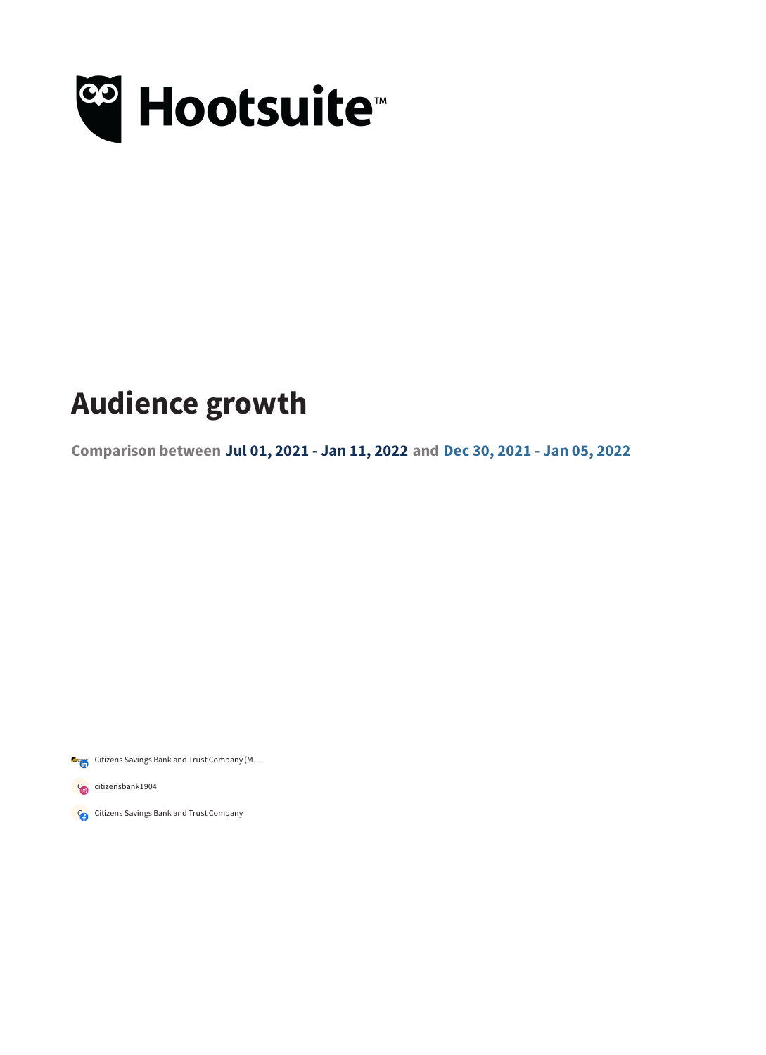

## **Audience growth**

**Comparison between Jul 01, 2021 - Jan 11, 2022 and Dec 30, 2021 - Jan 05, 2022**

Citizens Savings Bank and Trust Company (M...

Concitizensbank1904

Concitizens Savings Bank and Trust Company